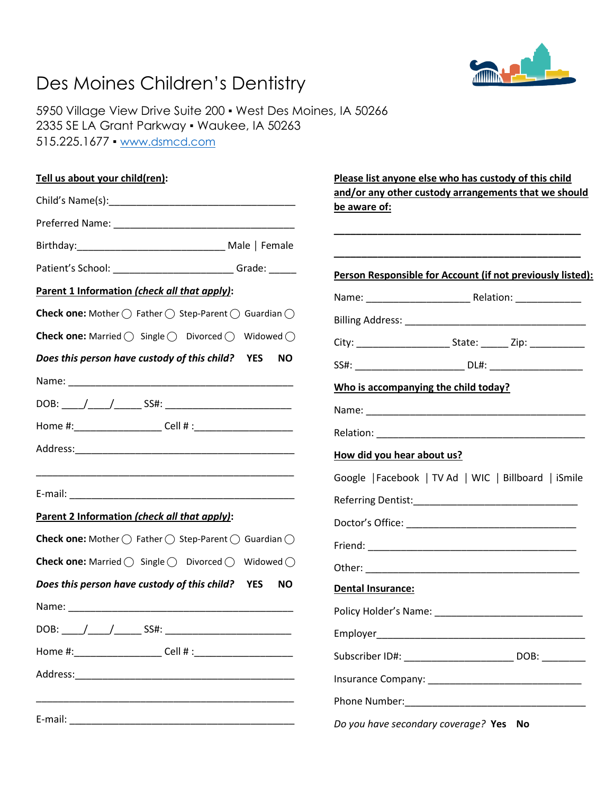## Des Moines Children's Dentistry



5950 Village View Drive Suite 200 ▪ West Des Moines, IA 50266 2335 SE LA Grant Parkway ▪ Waukee, IA 50263 515.225.1677 ▪ [www.dsmcd.com](http://www.dsmcd.com/)

| Tell us about your child(ren):                                                                   | Please list anyone else who has custody of this child                |
|--------------------------------------------------------------------------------------------------|----------------------------------------------------------------------|
|                                                                                                  | and/or any other custody arrangements that we should<br>be aware of: |
|                                                                                                  |                                                                      |
|                                                                                                  |                                                                      |
| Patient's School: ____________________________Grade: ______                                      | Person Responsible for Account (if not previously listed):           |
| Parent 1 Information (check all that apply):                                                     |                                                                      |
| <b>Check one:</b> Mother $\bigcirc$ Father $\bigcirc$ Step-Parent $\bigcirc$ Guardian $\bigcirc$ |                                                                      |
| <b>Check one:</b> Married $\bigcirc$ Single $\bigcirc$ Divorced $\bigcirc$ Widowed $\bigcirc$    |                                                                      |
| Does this person have custody of this child? YES<br>NO.                                          |                                                                      |
|                                                                                                  | Who is accompanying the child today?                                 |
|                                                                                                  |                                                                      |
|                                                                                                  |                                                                      |
|                                                                                                  | How did you hear about us?                                           |
|                                                                                                  | Google   Facebook   TV Ad   WIC   Billboard   iSmile                 |
|                                                                                                  |                                                                      |
| Parent 2 Information (check all that apply):                                                     |                                                                      |
| <b>Check one:</b> Mother $\bigcirc$ Father $\bigcirc$ Step-Parent $\bigcirc$ Guardian $\bigcirc$ |                                                                      |
| <b>Check one:</b> Married $\bigcirc$ Single $\bigcirc$ Divorced $\bigcirc$ Widowed $\bigcirc$    |                                                                      |
| Does this person have custody of this child? YES<br><b>NO</b>                                    | Dental Insurance:                                                    |
|                                                                                                  |                                                                      |
| DOB: _____/_____/______ SS#: ___________________________                                         |                                                                      |
|                                                                                                  | Subscriber ID#: _________________________ DOB: ________              |
|                                                                                                  |                                                                      |
|                                                                                                  |                                                                      |
|                                                                                                  | Do you have secondary coverage? Yes No                               |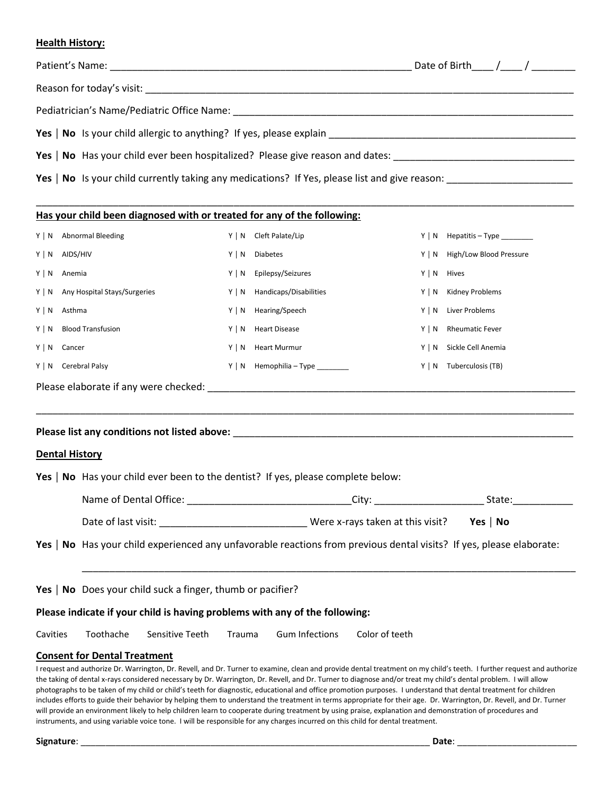#### **Health History:**

|                       |                                                                                                                      |                                                            |                |                                                                                  | Yes   No Has your child ever been hospitalized? Please give reason and dates: ________________________________                                                                                                                                                                                                                            |                                       |        |  |
|-----------------------|----------------------------------------------------------------------------------------------------------------------|------------------------------------------------------------|----------------|----------------------------------------------------------------------------------|-------------------------------------------------------------------------------------------------------------------------------------------------------------------------------------------------------------------------------------------------------------------------------------------------------------------------------------------|---------------------------------------|--------|--|
|                       |                                                                                                                      |                                                            |                |                                                                                  |                                                                                                                                                                                                                                                                                                                                           |                                       |        |  |
|                       |                                                                                                                      |                                                            |                | Has your child been diagnosed with or treated for any of the following:          |                                                                                                                                                                                                                                                                                                                                           |                                       |        |  |
|                       | Y   N Abnormal Bleeding                                                                                              |                                                            |                | Y   N Cleft Palate/Lip                                                           |                                                                                                                                                                                                                                                                                                                                           | $Y \mid N$ Hepatitis - Type _________ |        |  |
| Y   N AIDS/HIV        |                                                                                                                      |                                                            | Y   N Diabetes |                                                                                  |                                                                                                                                                                                                                                                                                                                                           | Y   N High/Low Blood Pressure         |        |  |
| Y   N Anemia          |                                                                                                                      |                                                            |                | Y   N Epilepsy/Seizures                                                          | $Y \mid N$ Hives                                                                                                                                                                                                                                                                                                                          |                                       |        |  |
|                       | Y   N Any Hospital Stays/Surgeries                                                                                   |                                                            |                | Y   N Handicaps/Disabilities                                                     |                                                                                                                                                                                                                                                                                                                                           | Y   N Kidney Problems                 |        |  |
| Y   N Asthma          |                                                                                                                      |                                                            |                | Y   N Hearing/Speech                                                             |                                                                                                                                                                                                                                                                                                                                           | Y   N Liver Problems                  |        |  |
|                       | Y   N Blood Transfusion                                                                                              |                                                            |                |                                                                                  |                                                                                                                                                                                                                                                                                                                                           | Y   N Rheumatic Fever                 |        |  |
| $Y \mid N$ Cancer     |                                                                                                                      |                                                            |                |                                                                                  |                                                                                                                                                                                                                                                                                                                                           | Y   N Sickle Cell Anemia              |        |  |
| Y   N Cerebral Palsy  |                                                                                                                      |                                                            |                | Y   N Hemophilia - Type _______                                                  |                                                                                                                                                                                                                                                                                                                                           | Y   N Tuberculosis (TB)               |        |  |
|                       |                                                                                                                      |                                                            |                |                                                                                  |                                                                                                                                                                                                                                                                                                                                           |                                       |        |  |
| <b>Dental History</b> |                                                                                                                      |                                                            |                |                                                                                  |                                                                                                                                                                                                                                                                                                                                           |                                       |        |  |
|                       |                                                                                                                      |                                                            |                | Yes   No Has your child ever been to the dentist? If yes, please complete below: |                                                                                                                                                                                                                                                                                                                                           |                                       |        |  |
|                       | Name of Dental Office:                                                                                               |                                                            |                |                                                                                  |                                                                                                                                                                                                                                                                                                                                           |                                       | State: |  |
|                       |                                                                                                                      |                                                            |                |                                                                                  |                                                                                                                                                                                                                                                                                                                                           | Yes   $No$                            |        |  |
|                       | Yes   No Has your child experienced any unfavorable reactions from previous dental visits? If yes, please elaborate: |                                                            |                |                                                                                  |                                                                                                                                                                                                                                                                                                                                           |                                       |        |  |
|                       |                                                                                                                      | Yes   No Does your child suck a finger, thumb or pacifier? |                |                                                                                  |                                                                                                                                                                                                                                                                                                                                           |                                       |        |  |
|                       |                                                                                                                      |                                                            |                | Please indicate if your child is having problems with any of the following:      |                                                                                                                                                                                                                                                                                                                                           |                                       |        |  |
| Cavities              | Toothache                                                                                                            | Sensitive Teeth                                            | Trauma         | <b>Gum Infections</b>                                                            | Color of teeth                                                                                                                                                                                                                                                                                                                            |                                       |        |  |
|                       | <b>Consent for Dental Treatment</b>                                                                                  |                                                            |                |                                                                                  | I request and authorize Dr. Warrington, Dr. Revell, and Dr. Turner to examine, clean and provide dental treatment on my child's teeth. I further request and authorize<br>the taking of dental x-rays considered necessary by Dr. Warrington, Dr. Revell, and Dr. Turner to diagnose and/or treat my child's dental problem, I will allow |                                       |        |  |

the taking of dental x-rays considered necessary by Dr. Warrington, Dr. Revell, and Dr. Turner to diagnose and/or treat my child's dental problem. I will allow photographs to be taken of my child or child's teeth for diagnostic, educational and office promotion purposes. I understand that dental treatment for children includes efforts to guide their behavior by helping them to understand the treatment in terms appropriate for their age. Dr. Warrington, Dr. Revell, and Dr. Turner will provide an environment likely to help children learn to cooperate during treatment by using praise, explanation and demonstration of procedures and instruments, and using variable voice tone. I will be responsible for any charges incurred on this child for dental treatment.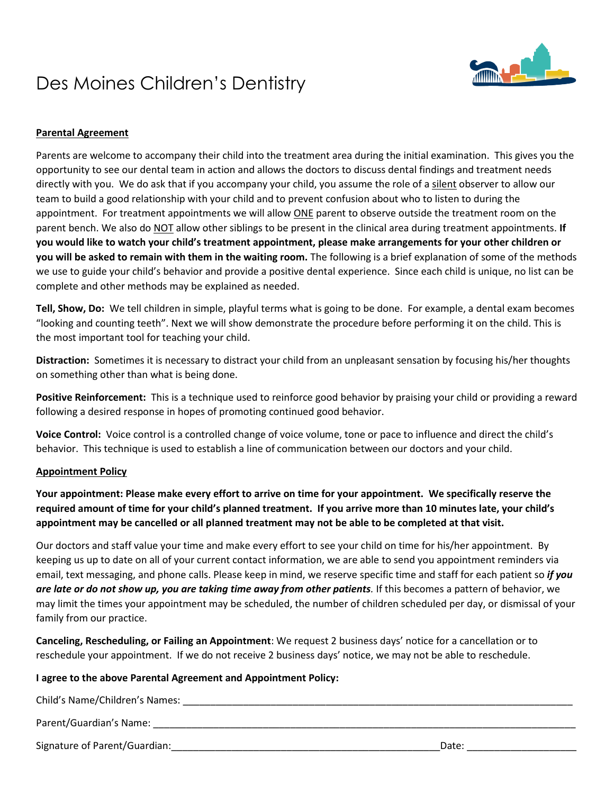## Des Moines Children's Dentistry



### **Parental Agreement**

Parents are welcome to accompany their child into the treatment area during the initial examination. This gives you the opportunity to see our dental team in action and allows the doctors to discuss dental findings and treatment needs directly with you. We do ask that if you accompany your child, you assume the role of a silent observer to allow our team to build a good relationship with your child and to prevent confusion about who to listen to during the appointment. For treatment appointments we will allow ONE parent to observe outside the treatment room on the parent bench. We also do NOT allow other siblings to be present in the clinical area during treatment appointments. **If you would like to watch your child's treatment appointment, please make arrangements for your other children or you will be asked to remain with them in the waiting room.** The following is a brief explanation of some of the methods we use to guide your child's behavior and provide a positive dental experience. Since each child is unique, no list can be complete and other methods may be explained as needed.

**Tell, Show, Do:** We tell children in simple, playful terms what is going to be done. For example, a dental exam becomes "looking and counting teeth". Next we will show demonstrate the procedure before performing it on the child. This is the most important tool for teaching your child.

**Distraction:** Sometimes it is necessary to distract your child from an unpleasant sensation by focusing his/her thoughts on something other than what is being done.

**Positive Reinforcement:** This is a technique used to reinforce good behavior by praising your child or providing a reward following a desired response in hopes of promoting continued good behavior.

**Voice Control:** Voice control is a controlled change of voice volume, tone or pace to influence and direct the child's behavior. This technique is used to establish a line of communication between our doctors and your child.

#### **Appointment Policy**

**Your appointment: Please make every effort to arrive on time for your appointment. We specifically reserve the required amount of time for your child's planned treatment. If you arrive more than 10 minutes late, your child's appointment may be cancelled or all planned treatment may not be able to be completed at that visit.**

Our doctors and staff value your time and make every effort to see your child on time for his/her appointment. By keeping us up to date on all of your current contact information, we are able to send you appointment reminders via email, text messaging, and phone calls. Please keep in mind, we reserve specific time and staff for each patient so *if you are late or do not show up, you are taking time away from other patients.* If this becomes a pattern of behavior, we may limit the times your appointment may be scheduled, the number of children scheduled per day, or dismissal of your family from our practice.

**Canceling, Rescheduling, or Failing an Appointment**: We request 2 business days' notice for a cancellation or to reschedule your appointment. If we do not receive 2 business days' notice, we may not be able to reschedule.

#### **I agree to the above Parental Agreement and Appointment Policy:**

Child's Name/Children's Names: \_\_\_\_\_\_\_\_\_\_\_\_\_\_\_\_\_\_\_\_\_\_\_\_\_\_\_\_\_\_\_\_\_\_\_\_\_\_\_\_\_\_\_\_\_\_\_\_\_\_\_\_\_\_\_\_\_\_\_\_\_\_\_\_\_\_\_\_\_\_\_

Parent/Guardian's Name: \_\_\_\_\_\_\_\_\_\_\_\_\_\_\_\_\_\_\_\_\_\_\_\_\_\_\_\_\_\_\_\_\_\_\_\_\_\_\_\_\_\_\_\_\_\_\_\_\_\_\_\_\_\_\_\_\_\_\_\_\_\_\_\_\_\_\_\_\_\_\_\_\_\_\_\_\_

Signature of Parent/Guardian:\_\_\_\_\_\_\_\_\_\_\_\_\_\_\_\_\_\_\_\_\_\_\_\_\_\_\_\_\_\_\_\_\_\_\_\_\_\_\_\_\_\_\_\_\_\_\_\_\_Date: \_\_\_\_\_\_\_\_\_\_\_\_\_\_\_\_\_\_\_\_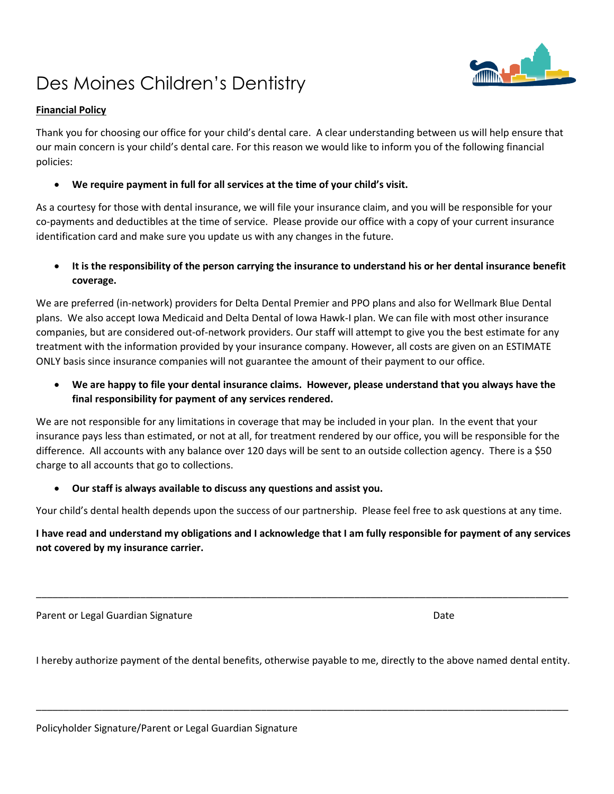# Des Moines Children's Dentistry

### **Financial Policy**

Thank you for choosing our office for your child's dental care. A clear understanding between us will help ensure that our main concern is your child's dental care. For this reason we would like to inform you of the following financial policies:

• **We require payment in full for all services at the time of your child's visit.** 

As a courtesy for those with dental insurance, we will file your insurance claim, and you will be responsible for your co-payments and deductibles at the time of service. Please provide our office with a copy of your current insurance identification card and make sure you update us with any changes in the future.

• **It is the responsibility of the person carrying the insurance to understand his or her dental insurance benefit coverage.** 

We are preferred (in-network) providers for Delta Dental Premier and PPO plans and also for Wellmark Blue Dental plans. We also accept Iowa Medicaid and Delta Dental of Iowa Hawk-I plan. We can file with most other insurance companies, but are considered out-of-network providers. Our staff will attempt to give you the best estimate for any treatment with the information provided by your insurance company. However, all costs are given on an ESTIMATE ONLY basis since insurance companies will not guarantee the amount of their payment to our office.

• **We are happy to file your dental insurance claims. However, please understand that you always have the final responsibility for payment of any services rendered.** 

We are not responsible for any limitations in coverage that may be included in your plan. In the event that your insurance pays less than estimated, or not at all, for treatment rendered by our office, you will be responsible for the difference. All accounts with any balance over 120 days will be sent to an outside collection agency. There is a \$50 charge to all accounts that go to collections.

• **Our staff is always available to discuss any questions and assist you.**

Your child's dental health depends upon the success of our partnership. Please feel free to ask questions at any time.

## **I have read and understand my obligations and I acknowledge that I am fully responsible for payment of any services not covered by my insurance carrier.**

\_\_\_\_\_\_\_\_\_\_\_\_\_\_\_\_\_\_\_\_\_\_\_\_\_\_\_\_\_\_\_\_\_\_\_\_\_\_\_\_\_\_\_\_\_\_\_\_\_\_\_\_\_\_\_\_\_\_\_\_\_\_\_\_\_\_\_\_\_\_\_\_\_\_\_\_\_\_\_\_\_\_\_\_\_\_\_\_\_\_\_\_\_\_\_\_\_

Parent or Legal Guardian Signature **Date of Australian Signature** Date of Australian Control of Australian Control

I hereby authorize payment of the dental benefits, otherwise payable to me, directly to the above named dental entity.

\_\_\_\_\_\_\_\_\_\_\_\_\_\_\_\_\_\_\_\_\_\_\_\_\_\_\_\_\_\_\_\_\_\_\_\_\_\_\_\_\_\_\_\_\_\_\_\_\_\_\_\_\_\_\_\_\_\_\_\_\_\_\_\_\_\_\_\_\_\_\_\_\_\_\_\_\_\_\_\_\_\_\_\_\_\_\_\_\_\_\_\_\_\_\_\_\_